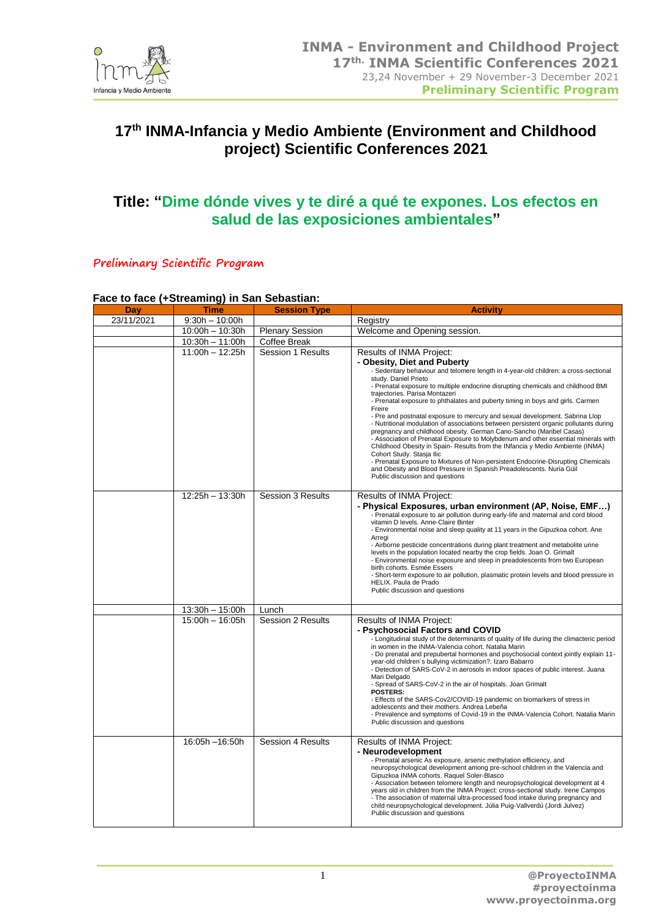

# **17 th INMA-Infancia y Medio Ambiente (Environment and Childhood project) Scientific Conferences 2021**

# **Title: "Dime dónde vives y te diré a qué te expones. Los efectos en salud de las exposiciones ambientales"**

**Preliminary Scientific Program**

#### **Face to face (+Streaming) in San Sebastian:**

| Day        | Time              | <b>Session Type</b>      | <b>Activity</b>                                                                                                                                                                                                                                                                                                                                                                                                                                                                                                                                                                                                                                                                                                                                                                                                                                                                                                                                                                                                                             |
|------------|-------------------|--------------------------|---------------------------------------------------------------------------------------------------------------------------------------------------------------------------------------------------------------------------------------------------------------------------------------------------------------------------------------------------------------------------------------------------------------------------------------------------------------------------------------------------------------------------------------------------------------------------------------------------------------------------------------------------------------------------------------------------------------------------------------------------------------------------------------------------------------------------------------------------------------------------------------------------------------------------------------------------------------------------------------------------------------------------------------------|
| 23/11/2021 | $9:30h - 10:00h$  |                          | Registry                                                                                                                                                                                                                                                                                                                                                                                                                                                                                                                                                                                                                                                                                                                                                                                                                                                                                                                                                                                                                                    |
|            | $10:00h - 10:30h$ | <b>Plenary Session</b>   | Welcome and Opening session.                                                                                                                                                                                                                                                                                                                                                                                                                                                                                                                                                                                                                                                                                                                                                                                                                                                                                                                                                                                                                |
|            | $10:30h - 11:00h$ | Coffee Break             |                                                                                                                                                                                                                                                                                                                                                                                                                                                                                                                                                                                                                                                                                                                                                                                                                                                                                                                                                                                                                                             |
|            | $11:00h - 12:25h$ | Session 1 Results        | Results of INMA Project:<br>- Obesity, Diet and Puberty<br>- Sedentary behaviour and telomere length in 4-year-old children: a cross-sectional<br>study. Daniel Prieto<br>- Prenatal exposure to multiple endocrine disrupting chemicals and childhood BMI<br>traiectories. Parisa Montazeri<br>- Prenatal exposure to phthalates and puberty timing in boys and girls. Carmen<br>Freire<br>- Pre and postnatal exposure to mercury and sexual development. Sabrina Llop<br>- Nutritional modulation of associations between persistent organic pollutants during<br>pregnancy and childhood obesity. German Cano-Sancho (Maribel Casas)<br>- Association of Prenatal Exposure to Molybdenum and other essential minerals with<br>Childhood Obesity in Spain- Results from the INfancia y Medio Ambiente (INMA)<br>Cohort Study. Stasja Ilic<br>- Prenatal Exposure to Mixtures of Non-persistent Endocrine-Disrupting Chemicals<br>and Obesity and Blood Pressure in Spanish Preadolescents. Nuria Güil<br>Public discussion and questions |
|            | 12:25h - 13:30h   | <b>Session 3 Results</b> | Results of INMA Project:<br>- Physical Exposures, urban environment (AP, Noise, EMF)<br>- Prenatal exposure to air pollution during early-life and maternal and cord blood<br>vitamin D levels. Anne-Claire Binter<br>- Environmental noise and sleep quality at 11 years in the Gipuzkoa cohort. Ane<br>Arreai<br>- Airborne pesticide concentrations during plant treatment and metabolite urine<br>levels in the population located nearby the crop fields. Joan O. Grimalt<br>- Environmental noise exposure and sleep in preadolescents from two European<br>birth cohorts. Esmée Essers<br>- Short-term exposure to air pollution, plasmatic protein levels and blood pressure in<br>HELIX. Paula de Prado<br>Public discussion and questions                                                                                                                                                                                                                                                                                         |
|            | 13:30h - 15:00h   | Lunch                    |                                                                                                                                                                                                                                                                                                                                                                                                                                                                                                                                                                                                                                                                                                                                                                                                                                                                                                                                                                                                                                             |
|            | 15:00h - 16:05h   | Session 2 Results        | Results of INMA Project:<br>- Psychosocial Factors and COVID<br>- Longitudinal study of the determinants of quality of life during the climacteric period<br>in women in the INMA-Valencia cohort. Natalia Marin<br>- Do prenatal and prepubertal hormones and psychosocial context jointly explain 11-<br>year-old children's bullying victimization?. Izaro Babarro<br>- Detection of SARS-CoV-2 in aerosols in indoor spaces of public interest. Juana<br>Mari Delgado<br>- Spread of SARS-CoV-2 in the air of hospitals. Joan Grimalt<br><b>POSTERS:</b><br>- Effects of the SARS-Cov2/COVID-19 pandemic on biomarkers of stress in<br>adolescents and their mothers. Andrea Lebeña<br>- Prevalence and symptoms of Covid-19 in the INMA-Valencia Cohort. Natalia Marin<br>Public discussion and questions                                                                                                                                                                                                                              |
|            | 16:05h -16:50h    | <b>Session 4 Results</b> | Results of INMA Project:<br>- Neurodevelopment<br>- Prenatal arsenic As exposure, arsenic methylation efficiency, and<br>neuropsychological development among pre-school children in the Valencia and<br>Gipuzkoa INMA cohorts. Raquel Soler-Blasco<br>- Association between telomere length and neuropsychological development at 4<br>years old in children from the INMA Project: cross-sectional study. Irene Campos<br>- The association of maternal ultra-processed food intake during pregnancy and<br>child neuropsychological development. Júlia Puig-Vallverdú (Jordi Julvez)<br>Public discussion and questions                                                                                                                                                                                                                                                                                                                                                                                                                  |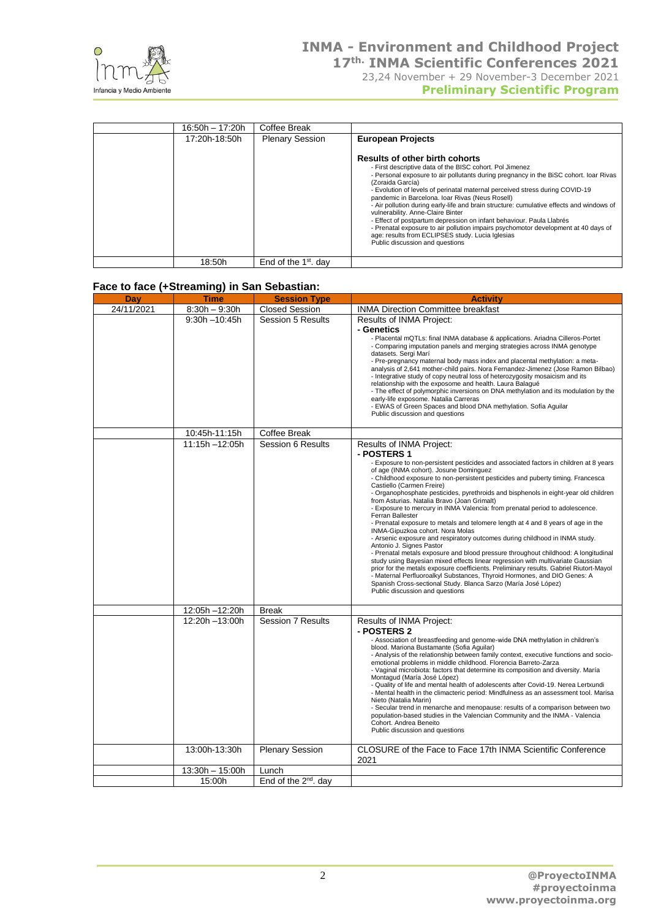

|  | <b>Preliminary Scientific Program</b> |  |
|--|---------------------------------------|--|
|  |                                       |  |

| 16:50h - 17:20h | Coffee Break           |                                                                                                                                                                                                                                                                                                                                                                                                                                                                                                                                                                                                                                                                                                                                         |
|-----------------|------------------------|-----------------------------------------------------------------------------------------------------------------------------------------------------------------------------------------------------------------------------------------------------------------------------------------------------------------------------------------------------------------------------------------------------------------------------------------------------------------------------------------------------------------------------------------------------------------------------------------------------------------------------------------------------------------------------------------------------------------------------------------|
| 17:20h-18:50h   | <b>Plenary Session</b> | <b>European Projects</b>                                                                                                                                                                                                                                                                                                                                                                                                                                                                                                                                                                                                                                                                                                                |
|                 |                        | <b>Results of other birth cohorts</b><br>- First descriptive data of the BISC cohort. Pol Jimenez<br>- Personal exposure to air pollutants during pregnancy in the BiSC cohort. loar Rivas<br>(Zoraida García)<br>- Evolution of levels of perinatal maternal perceived stress during COVID-19<br>pandemic in Barcelona. Ioar Rivas (Neus Rosell)<br>- Air pollution during early-life and brain structure: cumulative effects and windows of<br>vulnerability. Anne-Claire Binter<br>- Effect of postpartum depression on infant behaviour. Paula Llabrés<br>- Prenatal exposure to air pollution impairs psychomotor development at 40 days of<br>age: results from ECLIPSES study. Lucia Iglesias<br>Public discussion and questions |
| 18:50h          | End of the $1st$ . day |                                                                                                                                                                                                                                                                                                                                                                                                                                                                                                                                                                                                                                                                                                                                         |

### **Face to face (+Streaming) in San Sebastian:**

| <b>Day</b> | <b>Time</b>      | <b>Session Type</b>              | <b>Activity</b>                                                                                                                                                           |
|------------|------------------|----------------------------------|---------------------------------------------------------------------------------------------------------------------------------------------------------------------------|
| 24/11/2021 | $8:30h - 9:30h$  | <b>Closed Session</b>            | <b>INMA Direction Committee breakfast</b>                                                                                                                                 |
|            | $9:30h - 10:45h$ | <b>Session 5 Results</b>         | Results of INMA Project:                                                                                                                                                  |
|            |                  |                                  | - Genetics                                                                                                                                                                |
|            |                  |                                  | - Placental mQTLs: final INMA database & applications. Ariadna Cilleros-Portet<br>- Comparing imputation panels and merging strategies across INMA genotype               |
|            |                  |                                  | datasets. Sergi Marí                                                                                                                                                      |
|            |                  |                                  | - Pre-pregnancy maternal body mass index and placental methylation: a meta-<br>analysis of 2,641 mother-child pairs. Nora Fernandez-Jimenez (Jose Ramon Bilbao)           |
|            |                  |                                  | - Integrative study of copy neutral loss of heterozygosity mosaicism and its                                                                                              |
|            |                  |                                  | relationship with the exposome and health. Laura Balagué<br>- The effect of polymorphic inversions on DNA methylation and its modulation by the                           |
|            |                  |                                  | early-life exposome. Natalia Carreras<br>- EWAS of Green Spaces and blood DNA methylation. Sofía Aguilar                                                                  |
|            |                  |                                  | Public discussion and questions                                                                                                                                           |
|            |                  |                                  |                                                                                                                                                                           |
|            | 10:45h-11:15h    | <b>Coffee Break</b>              |                                                                                                                                                                           |
|            | 11:15h-12:05h    | Session 6 Results                | Results of INMA Project:<br>- POSTERS 1                                                                                                                                   |
|            |                  |                                  | - Exposure to non-persistent pesticides and associated factors in children at 8 years                                                                                     |
|            |                  |                                  | of age (INMA cohort). Josune Dominguez<br>- Childhood exposure to non-persistent pesticides and puberty timing. Francesca                                                 |
|            |                  |                                  | Castiello (Carmen Freire)                                                                                                                                                 |
|            |                  |                                  | - Organophosphate pesticides, pyrethroids and bisphenols in eight-year old children<br>from Asturias. Natalia Bravo (Joan Grimalt)                                        |
|            |                  |                                  | - Exposure to mercury in INMA Valencia: from prenatal period to adolescence.                                                                                              |
|            |                  |                                  | Ferran Ballester<br>- Prenatal exposure to metals and telomere length at 4 and 8 years of age in the                                                                      |
|            |                  |                                  | INMA-Gipuzkoa cohort. Nora Molas                                                                                                                                          |
|            |                  |                                  | - Arsenic exposure and respiratory outcomes during childhood in INMA study.<br>Antonio J. Signes Pastor                                                                   |
|            |                  |                                  | - Prenatal metals exposure and blood pressure throughout childhood: A longitudinal                                                                                        |
|            |                  |                                  | study using Bayesian mixed effects linear regression with multivariate Gaussian<br>prior for the metals exposure coefficients. Preliminary results. Gabriel Riutort-Mayol |
|            |                  |                                  | - Maternal Perfluoroalkyl Substances, Thyroid Hormones, and DIO Genes: A                                                                                                  |
|            |                  |                                  | Spanish Cross-sectional Study. Blanca Sarzo (María José López)<br>Public discussion and questions                                                                         |
|            |                  |                                  |                                                                                                                                                                           |
|            | 12:05h-12:20h    | <b>Break</b>                     |                                                                                                                                                                           |
|            | 12:20h -13:00h   | Session 7 Results                | Results of INMA Project:<br>- POSTERS 2                                                                                                                                   |
|            |                  |                                  | - Association of breastfeeding and genome-wide DNA methylation in children's                                                                                              |
|            |                  |                                  | blood. Mariona Bustamante (Sofia Aguilar)<br>- Analysis of the relationship between family context, executive functions and socio-                                        |
|            |                  |                                  | emotional problems in middle childhood. Florencia Barreto-Zarza                                                                                                           |
|            |                  |                                  | - Vaginal microbiota: factors that determine its composition and diversity. María<br>Montagud (María José López)                                                          |
|            |                  |                                  | - Quality of life and mental health of adolescents after Covid-19. Nerea Lertxundi                                                                                        |
|            |                  |                                  | - Mental health in the climacteric period: Mindfulness as an assessment tool. Marisa<br>Nieto (Natalia Marin)                                                             |
|            |                  |                                  | - Secular trend in menarche and menopause: results of a comparison between two                                                                                            |
|            |                  |                                  | population-based studies in the Valencian Community and the INMA - Valencia<br>Cohort. Andrea Beneito                                                                     |
|            |                  |                                  | Public discussion and questions                                                                                                                                           |
|            | 13:00h-13:30h    | <b>Plenary Session</b>           | CLOSURE of the Face to Face 17th INMA Scientific Conference                                                                                                               |
|            |                  |                                  | 2021                                                                                                                                                                      |
|            | 13:30h - 15:00h  | Lunch                            |                                                                                                                                                                           |
|            | 15:00h           | End of the 2 <sup>nd</sup> . day |                                                                                                                                                                           |